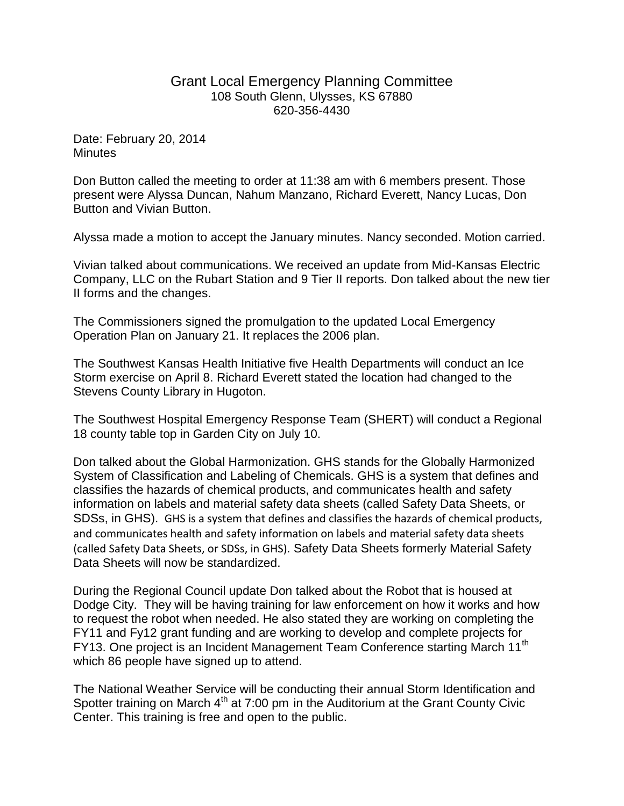## Grant Local Emergency Planning Committee 108 South Glenn, Ulysses, KS 67880 620-356-4430

Date: February 20, 2014 **Minutes** 

Don Button called the meeting to order at 11:38 am with 6 members present. Those present were Alyssa Duncan, Nahum Manzano, Richard Everett, Nancy Lucas, Don Button and Vivian Button.

Alyssa made a motion to accept the January minutes. Nancy seconded. Motion carried.

Vivian talked about communications. We received an update from Mid-Kansas Electric Company, LLC on the Rubart Station and 9 Tier II reports. Don talked about the new tier II forms and the changes.

The Commissioners signed the promulgation to the updated Local Emergency Operation Plan on January 21. It replaces the 2006 plan.

The Southwest Kansas Health Initiative five Health Departments will conduct an Ice Storm exercise on April 8. Richard Everett stated the location had changed to the Stevens County Library in Hugoton.

The Southwest Hospital Emergency Response Team (SHERT) will conduct a Regional 18 county table top in Garden City on July 10.

Don talked about the Global Harmonization. GHS stands for the Globally Harmonized System of Classification and Labeling of Chemicals. GHS is a system that defines and classifies the hazards of chemical products, and communicates health and safety information on labels and material safety data sheets (called Safety Data Sheets, or SDSs, in GHS). GHS is a system that defines and classifies the hazards of chemical products, and communicates health and safety information on labels and material safety data sheets (called Safety Data Sheets, or SDSs, in GHS). Safety Data Sheets formerly Material Safety Data Sheets will now be standardized.

During the Regional Council update Don talked about the Robot that is housed at Dodge City. They will be having training for law enforcement on how it works and how to request the robot when needed. He also stated they are working on completing the FY11 and Fy12 grant funding and are working to develop and complete projects for FY13. One project is an Incident Management Team Conference starting March 11<sup>th</sup> which 86 people have signed up to attend.

The National Weather Service will be conducting their annual Storm Identification and Spotter training on March  $4<sup>th</sup>$  at 7:00 pm in the Auditorium at the Grant County Civic Center. This training is free and open to the public.